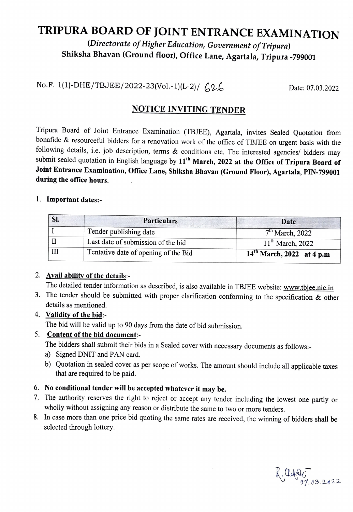# TRIPURA BOARD OF JOINT ENTRANCE EXAMINATION<br>(Directorate of Higher Education, Government of Tripura)

# Shiksha Bhavan (Ground floor), Office Lane, Agartala, Tripura -799001

No.F. 1(1)-DHE/TBJEE/2022-23(Vol.-1)(L-2)/  $626$  Date: 07.03.2022

## NOTICE INVITING TENDER

Tripura Board of Joint Entrance Examination (TBJEE), Agartala, invites Sealed Quotation from bonafide & resourceful bidders for a renovation work of the office of TBJEE on urgent basis with the following details, i.e. job description, terms & conditions etc. The interested agencies/ bidders may submit sealed quotation in English language by 11<sup>th</sup> March, 2022 at the Office of Tripura Board of Joint Entrance Examination, Office Lane, Shiksha Bhavan (Ground Floor), Agartala, PIN-799001 during the office hours.

#### 1. Important dates:-

| SI. | <b>Particulars</b>                   | Date                           |
|-----|--------------------------------------|--------------------------------|
|     | Tender publishing date               | $7th$ March, 2022              |
|     | Last date of submission of the bid   | $11^{th}$ March, 2022          |
|     | Tentative date of opening of the Bid | $14^{th}$ March, 2022 at 4 p.m |

#### 2. Avail ability of the details:-

The detailed tender information as described, is also available in TBJEE website: www.tbjee.nic.in

3. The tender should be submitted with proper clarification conforming to the specification  $\&$  other details as mentioned.

#### 4. Validity of the bid

The bid will be valid up to 90 days from the date of bid submission.

#### 5. Content of the bid document:

The bidders shall submit their bids in a Sealed cover with necessary documents as follows:-

- a) Signed DNIT and PAN card.
- b) Quotation in sealed cover as per scope of works. The amount should include all applicable taxes that are required to be paid.

### 6. No conditional tender will be accepted whatever it may be.

- 7. The authority reserves the right to reject or accept any tender including the lowest one partly or wholly without assigning any reason or distribute the same to two or more tenders.
- 8. In case more than one price bid quoting the same rates are received, the winning of bidders shall be selected through lottery.

 $K$ . Claration or 03.2022